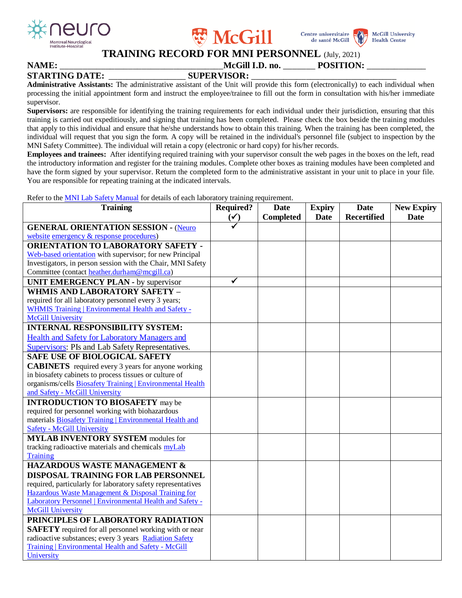





**McGill University** 

**Health Centre** 

## **TRAINING RECORD FOR MNI PERSONNEL** (July, 2021)

| <b>NAME:</b>          | _____ | McGill I.D. no.    | $\cdots$<br>POSITION· |  |
|-----------------------|-------|--------------------|-----------------------|--|
| <b>STARTING DATE:</b> |       | <b>SUPERVISOR:</b> |                       |  |

**Administrative Assistants:** The administrative assistant of the Unit will provide this form (electronically) to each individual when processing the initial appointment form and instruct the employee/trainee to fill out the form in consultation with his/her immediate supervisor.

**Supervisors:** are responsible for identifying the training requirements for each individual under their jurisdiction, ensuring that this training is carried out expeditiously, and signing that training has been completed. Please check the box beside the training modules that apply to this individual and ensure that he/she understands how to obtain this training. When the training has been completed, the individual will request that you sign the form. A copy will be retained in the individual's personnel file (subject to inspection by the MNI Safety Committee). The individual will retain a copy (electronic or hard copy) for his/her records.

**Employees and trainees:** After identifying required training with your supervisor consult the web pages in the boxes on the left, read the introductory information and register for the training modules. Complete other boxes as training modules have been completed and have the form signed by your supervisor. Return the completed form to the administrative assistant in your unit to place in your file. You are responsible for repeating training at the indicated intervals.

Refer to th[e MNI Lab Safety Manual](http://www.mcgill.ca/neuro/research/research-services/lab-safety) for details of each laboratory training requirement.

| <b>Training</b>                                                | <b>Required?</b> | <b>Date</b>      | <b>Expiry</b> | <b>Date</b>        | <b>New Expiry</b> |
|----------------------------------------------------------------|------------------|------------------|---------------|--------------------|-------------------|
|                                                                | $(\checkmark)$   | <b>Completed</b> | <b>Date</b>   | <b>Recertified</b> | <b>Date</b>       |
| <b>GENERAL ORIENTATION SESSION - (Neuro</b>                    |                  |                  |               |                    |                   |
| website emergency & response procedures)                       |                  |                  |               |                    |                   |
| <b>ORIENTATION TO LABORATORY SAFETY -</b>                      |                  |                  |               |                    |                   |
| Web-based orientation with supervisor; for new Principal       |                  |                  |               |                    |                   |
| Investigators, in person session with the Chair, MNI Safety    |                  |                  |               |                    |                   |
| Committee (contact heather.durham@mcgill.ca)                   |                  |                  |               |                    |                   |
| <b>UNIT EMERGENCY PLAN - by supervisor</b>                     | ✓                |                  |               |                    |                   |
| WHMIS AND LABORATORY SAFETY -                                  |                  |                  |               |                    |                   |
| required for all laboratory personnel every 3 years;           |                  |                  |               |                    |                   |
| <b>WHMIS Training   Environmental Health and Safety -</b>      |                  |                  |               |                    |                   |
| <b>McGill University</b>                                       |                  |                  |               |                    |                   |
| <b>INTERNAL RESPONSIBILITY SYSTEM:</b>                         |                  |                  |               |                    |                   |
| <b>Health and Safety for Laboratory Managers and</b>           |                  |                  |               |                    |                   |
| <b>Supervisors: PIs and Lab Safety Representatives.</b>        |                  |                  |               |                    |                   |
| <b>SAFE USE OF BIOLOGICAL SAFETY</b>                           |                  |                  |               |                    |                   |
| <b>CABINETS</b> required every 3 years for anyone working      |                  |                  |               |                    |                   |
| in biosafety cabinets to process tissues or culture of         |                  |                  |               |                    |                   |
| organisms/cells Biosafety Training   Environmental Health      |                  |                  |               |                    |                   |
| and Safety - McGill University                                 |                  |                  |               |                    |                   |
| <b>INTRODUCTION TO BIOSAFETY</b> may be                        |                  |                  |               |                    |                   |
| required for personnel working with biohazardous               |                  |                  |               |                    |                   |
| materials <b>Biosafety Training</b>   Environmental Health and |                  |                  |               |                    |                   |
| <b>Safety - McGill University</b>                              |                  |                  |               |                    |                   |
| <b>MYLAB INVENTORY SYSTEM modules for</b>                      |                  |                  |               |                    |                   |
| tracking radioactive materials and chemicals myLab             |                  |                  |               |                    |                   |
| <b>Training</b>                                                |                  |                  |               |                    |                   |
| <b>HAZARDOUS WASTE MANAGEMENT &amp;</b>                        |                  |                  |               |                    |                   |
| DISPOSAL TRAINING FOR LAB PERSONNEL                            |                  |                  |               |                    |                   |
| required, particularly for laboratory safety representatives   |                  |                  |               |                    |                   |
| Hazardous Waste Management & Disposal Training for             |                  |                  |               |                    |                   |
| Laboratory Personnel   Environmental Health and Safety -       |                  |                  |               |                    |                   |
| <b>McGill University</b>                                       |                  |                  |               |                    |                   |
| PRINCIPLES OF LABORATORY RADIATION                             |                  |                  |               |                    |                   |
| <b>SAFETY</b> required for all personnel working with or near  |                  |                  |               |                    |                   |
| radioactive substances; every 3 years Radiation Safety         |                  |                  |               |                    |                   |
| Training   Environmental Health and Safety - McGill            |                  |                  |               |                    |                   |
| University                                                     |                  |                  |               |                    |                   |